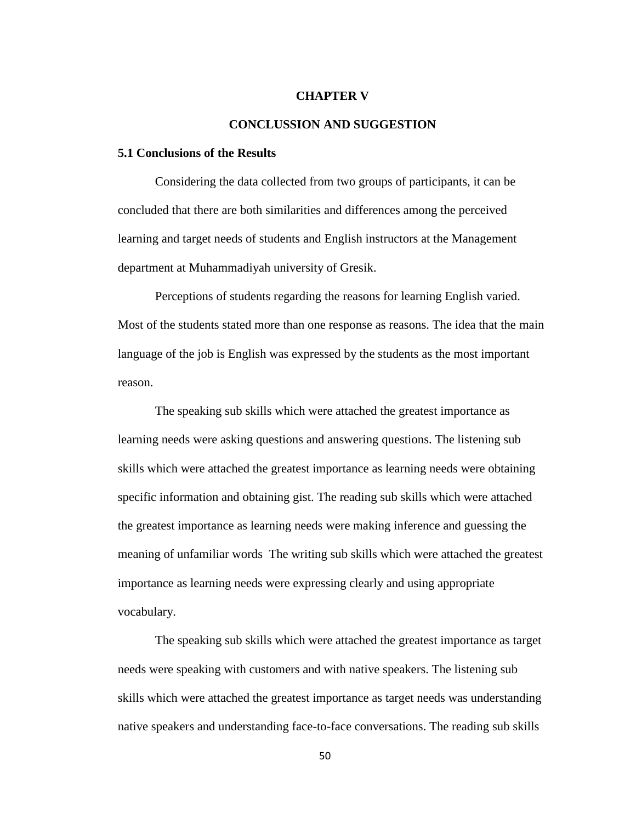#### **CHAPTER V**

# **CONCLUSSION AND SUGGESTION**

## **5.1 Conclusions of the Results**

Considering the data collected from two groups of participants, it can be concluded that there are both similarities and differences among the perceived learning and target needs of students and English instructors at the Management department at Muhammadiyah university of Gresik.

Perceptions of students regarding the reasons for learning English varied. Most of the students stated more than one response as reasons. The idea that the main language of the job is English was expressed by the students as the most important reason.

The speaking sub skills which were attached the greatest importance as learning needs were asking questions and answering questions. The listening sub skills which were attached the greatest importance as learning needs were obtaining specific information and obtaining gist. The reading sub skills which were attached the greatest importance as learning needs were making inference and guessing the meaning of unfamiliar words The writing sub skills which were attached the greatest importance as learning needs were expressing clearly and using appropriate vocabulary.

The speaking sub skills which were attached the greatest importance as target needs were speaking with customers and with native speakers. The listening sub skills which were attached the greatest importance as target needs was understanding native speakers and understanding face-to-face conversations. The reading sub skills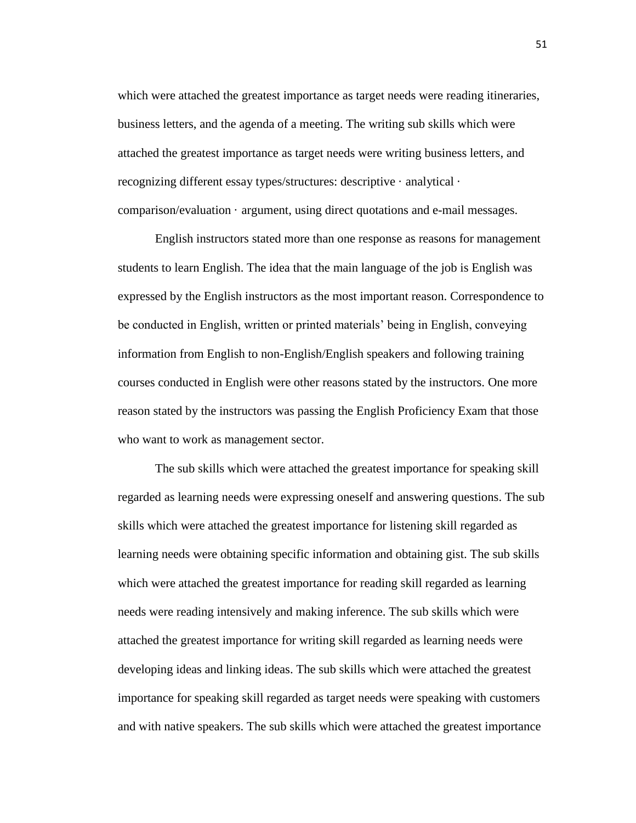which were attached the greatest importance as target needs were reading itineraries, business letters, and the agenda of a meeting. The writing sub skills which were attached the greatest importance as target needs were writing business letters, and recognizing different essay types/structures: descriptive · analytical · comparison/evaluation · argument, using direct quotations and e-mail messages.

English instructors stated more than one response as reasons for management students to learn English. The idea that the main language of the job is English was expressed by the English instructors as the most important reason. Correspondence to be conducted in English, written or printed materials' being in English, conveying information from English to non-English/English speakers and following training courses conducted in English were other reasons stated by the instructors. One more reason stated by the instructors was passing the English Proficiency Exam that those who want to work as management sector.

The sub skills which were attached the greatest importance for speaking skill regarded as learning needs were expressing oneself and answering questions. The sub skills which were attached the greatest importance for listening skill regarded as learning needs were obtaining specific information and obtaining gist. The sub skills which were attached the greatest importance for reading skill regarded as learning needs were reading intensively and making inference. The sub skills which were attached the greatest importance for writing skill regarded as learning needs were developing ideas and linking ideas. The sub skills which were attached the greatest importance for speaking skill regarded as target needs were speaking with customers and with native speakers. The sub skills which were attached the greatest importance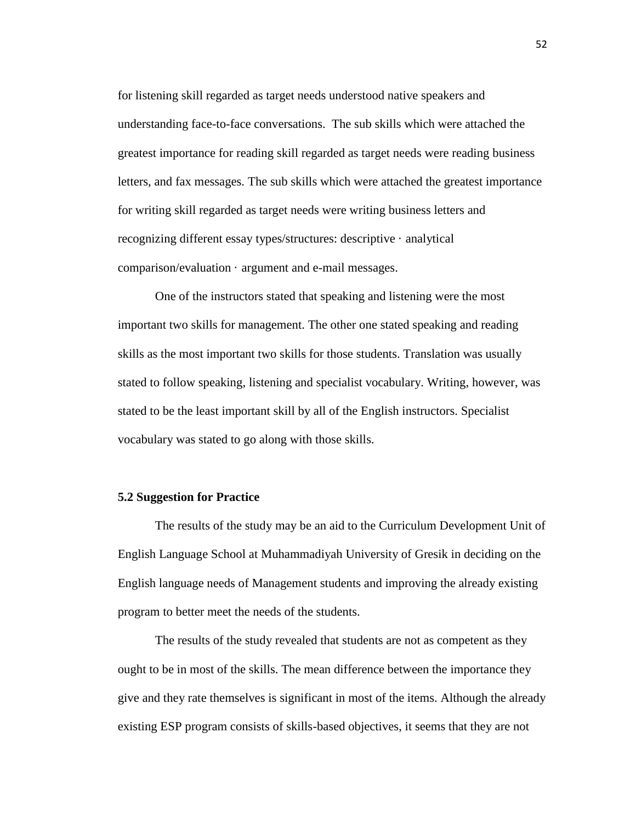for listening skill regarded as target needs understood native speakers and understanding face-to-face conversations. The sub skills which were attached the greatest importance for reading skill regarded as target needs were reading business letters, and fax messages. The sub skills which were attached the greatest importance for writing skill regarded as target needs were writing business letters and recognizing different essay types/structures: descriptive · analytical comparison/evaluation · argument and e-mail messages.

One of the instructors stated that speaking and listening were the most important two skills for management. The other one stated speaking and reading skills as the most important two skills for those students. Translation was usually stated to follow speaking, listening and specialist vocabulary. Writing, however, was stated to be the least important skill by all of the English instructors. Specialist vocabulary was stated to go along with those skills.

# **5.2 Suggestion for Practice**

The results of the study may be an aid to the Curriculum Development Unit of English Language School at Muhammadiyah University of Gresik in deciding on the English language needs of Management students and improving the already existing program to better meet the needs of the students.

The results of the study revealed that students are not as competent as they ought to be in most of the skills. The mean difference between the importance they give and they rate themselves is significant in most of the items. Although the already existing ESP program consists of skills-based objectives, it seems that they are not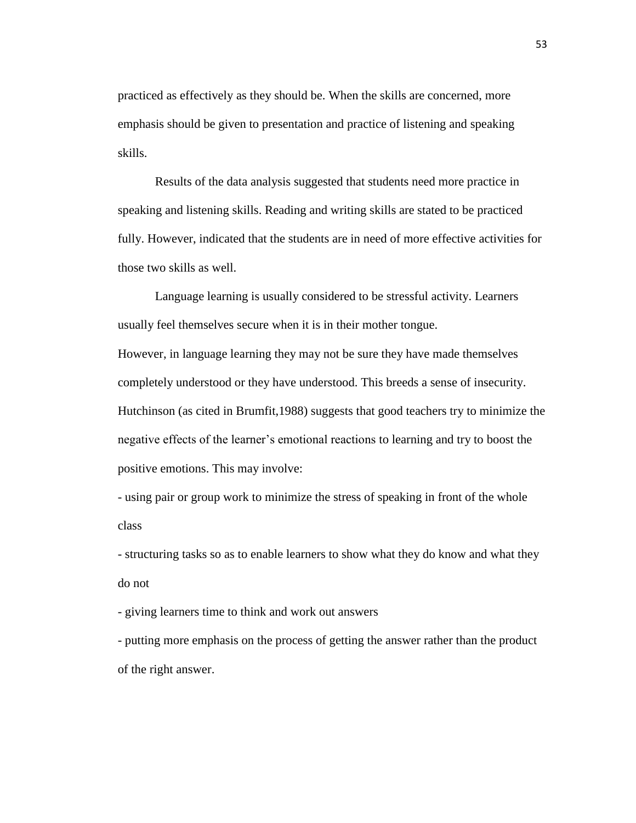practiced as effectively as they should be. When the skills are concerned, more emphasis should be given to presentation and practice of listening and speaking skills.

Results of the data analysis suggested that students need more practice in speaking and listening skills. Reading and writing skills are stated to be practiced fully. However, indicated that the students are in need of more effective activities for those two skills as well.

Language learning is usually considered to be stressful activity. Learners usually feel themselves secure when it is in their mother tongue.

However, in language learning they may not be sure they have made themselves completely understood or they have understood. This breeds a sense of insecurity. Hutchinson (as cited in Brumfit,1988) suggests that good teachers try to minimize the negative effects of the learner's emotional reactions to learning and try to boost the positive emotions. This may involve:

- using pair or group work to minimize the stress of speaking in front of the whole class

- structuring tasks so as to enable learners to show what they do know and what they do not

- giving learners time to think and work out answers

- putting more emphasis on the process of getting the answer rather than the product of the right answer.